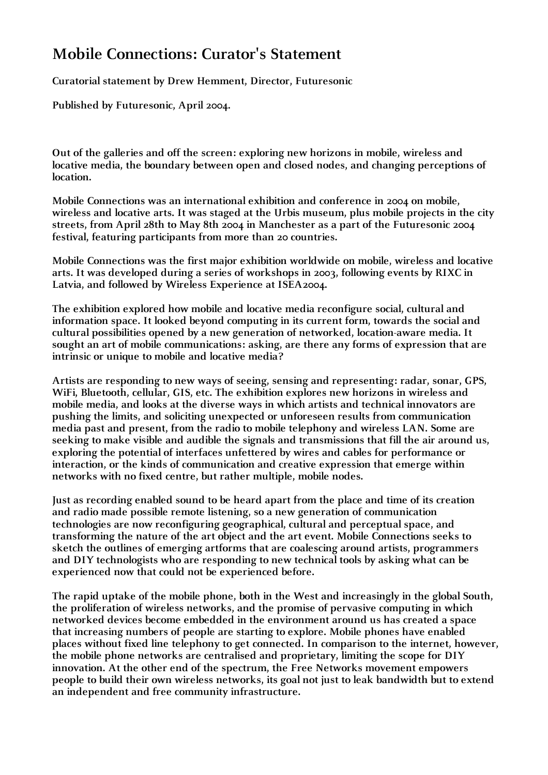# **Mobile Connections: Curator's Statement**

**Curatorial statement by Drew Hemment, Director, Futuresonic** 

**Published by Futuresonic, April 2004.**

**Out of the galleries and off the screen: exploring new horizons in mobile, wireless and locative media, the boundary between open and closed nodes, and changing perceptions of location.** 

**Mobile Connections was an international exhibition and conference in 2004 on mobile, wireless and locative arts. It was staged at the Urbis museum, plus mobile projects in the city streets, from April 28th to May 8th 2004 in Manchester as a part of the Futuresonic 2004 festival, featuring participants from more than 20 countries.** 

**Mobile Connections was the first major exhibition worldwide on mobile, wireless and locative arts. It was developed during a series of workshops in 2003, following events by RIXC in Latvia, and followed by Wireless Experience at ISEA2004.**

**The exhibition explored how mobile and locative media reconfigure social, cultural and information space. It looked beyond computing in its current form, towards the social and cultural possibilities opened by a new generation of networked, location-aware media. It sought an art of mobile communications: asking, are there any forms of expression that are intrinsic or unique to mobile and locative media?**

**Artists are responding to new ways of seeing, sensing and representing: radar, sonar, GPS, WiFi, Bluetooth, cellular, GIS, etc. The exhibition explores new horizons in wireless and mobile media, and looks at the diverse ways in which artists and technical innovators are pushing the limits, and soliciting unexpected or unforeseen results from communication media past and present, from the radio to mobile telephony and wireless LAN. Some are seeking to make visible and audible the signals and transmissions that fill the air around us, exploring the potential of interfaces unfettered by wires and cables for performance or interaction, or the kinds of communication and creative expression that emerge within networks with no fixed centre, but rather multiple, mobile nodes.**

**Just as recording enabled sound to be heard apart from the place and time of its creation and radio made possible remote listening, so a new generation of communication technologies are now reconfiguring geographical, cultural and perceptual space, and transforming the nature of the art object and the art event. Mobile Connections seeks to sketch the outlines of emerging artforms that are coalescing around artists, programmers and DIY technologists who are responding to new technical tools by asking what can be experienced now that could not be experienced before.**

**The rapid uptake of the mobile phone, both in the West and increasingly in the global South, the proliferation of wireless networks, and the promise of pervasive computing in which networked devices become embedded in the environment around us has created a space that increasing numbers of people are starting to explore. Mobile phones have enabled places without fixed line telephony to get connected. In comparison to the internet, however, the mobile phone networks are centralised and proprietary, limiting the scope for DIY innovation. At the other end of the spectrum, the Free Networks movement empowers people to build their own wireless networks, its goal not just to leak bandwidth but to extend an independent and free community infrastructure.**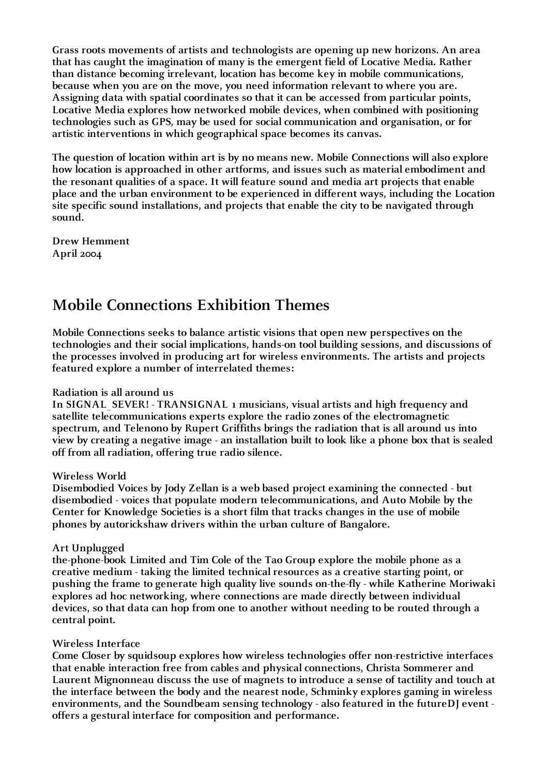**Grass roots movements of artists and technologists are opening up new horizons. An area that has caught the imagination of many is the emergent field of Locative Media. Rather than distance becoming irrelevant, location has become key in mobile communications, because when you are on the move, you need information relevant to where you are. Assigning data with spatial coordinates so that it can be accessed from particular points, Locative Media explores how networked mobile devices, when combined with positioning technologies such as GPS, may be used for social communication and organisation, or for artistic interventions in which geographical space becomes its canvas.**

**The question of location within art is by no means new. Mobile Connections will also explore how location is approached in other artforms, and issues such as material embodiment and the resonant qualities of a space. It will feature sound and media art projects that enable place and the urban environment to be experienced in different ways, including the Location site specific sound installations, and projects that enable the city to be navigated through sound.**

**Drew Hemment April 2004**

## **Mobile Connections Exhibition Themes**

**Mobile Connections seeks to balance artistic visions that open new perspectives on the technologies and their social implications, hands-on tool building sessions, and discussions of the processes involved in producing art for wireless environments. The artists and projects featured explore a number of interrelated themes:**

## **Radiation is all around us**

**In SIGNAL\_SEVER! - TRANSIGNAL 1 musicians, visual artists and high frequency and satellite telecommunications experts explore the radio zones of the electromagnetic spectrum, and Telenono by Rupert Griffiths brings the radiation that is all around us into view by creating a negative image - an installation built to look like a phone box that is sealed off from all radiation, offering true radio silence.**

#### **Wireless World**

**Disembodied Voices by Jody Zellan is a web based project examining the connected - but disembodied - voices that populate modern telecommunications, and Auto Mobile by the Center for Knowledge Societies is a short film that tracks changes in the use of mobile phones by autorickshaw drivers within the urban culture of Bangalore.**

#### **Art Unplugged**

**the-phone-book Limited and Tim Cole of the Tao Group explore the mobile phone as a creative medium - taking the limited technical resources as a creative starting point, or pushing the frame to generate high quality live sounds on-the-fly - while Katherine Moriwaki explores ad hoc networking, where connections are made directly between individual devices, so that data can hop from one to another without needing to be routed through a central point.**

#### **Wireless Interface**

**Come Closer by squidsoup explores how wireless technologies offer non-restrictive interfaces that enable interaction free from cables and physical connections, Christa Sommerer and Laurent Mignonneau discuss the use of magnets to introduce a sense of tactility and touch at the interface between the body and the nearest node, Schminky explores gaming in wireless environments, and the Soundbeam sensing technology - also featured in the futureDJ event offers a gestural interface for composition and performance.**